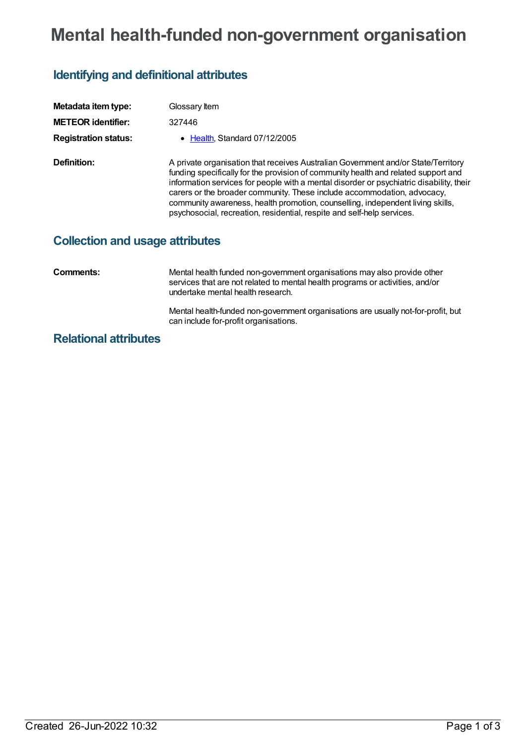# **Mental health-funded non-government organisation**

## **Identifying and definitional attributes**

| Metadata item type:                    | Glossary Item                                                                                                                                                                                                                                                                                                                                                                                                                                                                                             |
|----------------------------------------|-----------------------------------------------------------------------------------------------------------------------------------------------------------------------------------------------------------------------------------------------------------------------------------------------------------------------------------------------------------------------------------------------------------------------------------------------------------------------------------------------------------|
| <b>METEOR identifier:</b>              | 327446                                                                                                                                                                                                                                                                                                                                                                                                                                                                                                    |
| <b>Registration status:</b>            | • Health, Standard 07/12/2005                                                                                                                                                                                                                                                                                                                                                                                                                                                                             |
| <b>Definition:</b>                     | A private organisation that receives Australian Government and/or State/Territory<br>funding specifically for the provision of community health and related support and<br>information services for people with a mental disorder or psychiatric disability, their<br>carers or the broader community. These include accommodation, advocacy,<br>community awareness, health promotion, counselling, independent living skills,<br>psychosocial, recreation, residential, respite and self-help services. |
| <b>Collection and usage attributes</b> |                                                                                                                                                                                                                                                                                                                                                                                                                                                                                                           |
| Comments:                              | Mental health funded non-government organisations may also provide other<br>services that are not related to mental health programs or activities, and/or<br>undertake mental health research.                                                                                                                                                                                                                                                                                                            |
|                                        | Mental health-funded non-government organisations are usually not-for-profit, but<br>can include for-profit organisations.                                                                                                                                                                                                                                                                                                                                                                                |

### **Relational attributes**